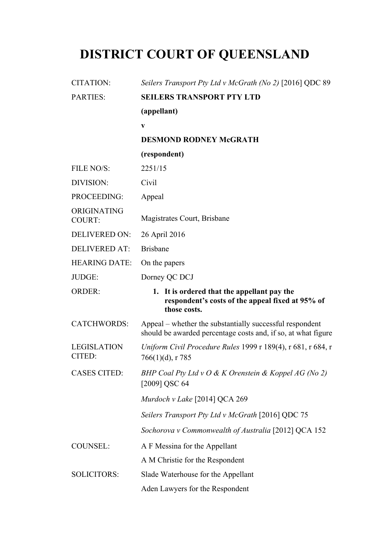# **DISTRICT COURT OF QUEENSLAND**

| <b>CITATION:</b>             | Seilers Transport Pty Ltd v McGrath (No 2) [2016] QDC 89                                                                  |
|------------------------------|---------------------------------------------------------------------------------------------------------------------------|
| <b>PARTIES:</b>              | <b>SEILERS TRANSPORT PTY LTD</b>                                                                                          |
|                              | (appellant)                                                                                                               |
|                              | V                                                                                                                         |
|                              | <b>DESMOND RODNEY McGRATH</b>                                                                                             |
|                              | (respondent)                                                                                                              |
| FILE NO/S:                   | 2251/15                                                                                                                   |
| DIVISION:                    | Civil                                                                                                                     |
| PROCEEDING:                  | Appeal                                                                                                                    |
| ORIGINATING<br>COURT:        | Magistrates Court, Brisbane                                                                                               |
| <b>DELIVERED ON:</b>         | 26 April 2016                                                                                                             |
| <b>DELIVERED AT:</b>         | <b>Brisbane</b>                                                                                                           |
| <b>HEARING DATE:</b>         | On the papers                                                                                                             |
| JUDGE:                       | Dorney QC DCJ                                                                                                             |
| <b>ORDER:</b>                | 1. It is ordered that the appellant pay the                                                                               |
|                              | respondent's costs of the appeal fixed at 95% of<br>those costs.                                                          |
| <b>CATCHWORDS:</b>           | Appeal – whether the substantially successful respondent<br>should be awarded percentage costs and, if so, at what figure |
| <b>LEGISLATION</b><br>CITED: | Uniform Civil Procedure Rules 1999 r 189(4), r 681, r 684, r<br>$766(1)(d)$ , r 785                                       |
| <b>CASES CITED:</b>          | BHP Coal Pty Ltd v O & K Orenstein & Koppel AG (No 2)<br>[2009] QSC 64                                                    |
|                              | Murdoch v Lake [2014] QCA 269                                                                                             |
|                              | Seilers Transport Pty Ltd v McGrath [2016] QDC 75                                                                         |
|                              | Sochorova v Commonwealth of Australia [2012] QCA 152                                                                      |
| <b>COUNSEL:</b>              | A F Messina for the Appellant                                                                                             |
|                              | A M Christie for the Respondent                                                                                           |
| <b>SOLICITORS:</b>           | Slade Waterhouse for the Appellant                                                                                        |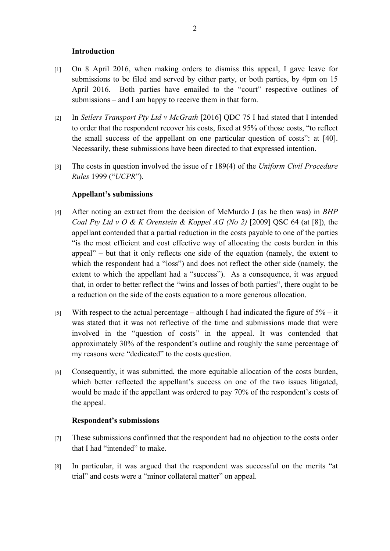#### **Introduction**

- [1] On 8 April 2016, when making orders to dismiss this appeal, I gave leave for submissions to be filed and served by either party, or both parties, by 4pm on 15 April 2016. Both parties have emailed to the "court" respective outlines of submissions – and I am happy to receive them in that form.
- [2] In *Seilers Transport Pty Ltd v McGrath* [2016] QDC 75 I had stated that I intended to order that the respondent recover his costs, fixed at 95% of those costs, "to reflect the small success of the appellant on one particular question of costs": at [40]. Necessarily, these submissions have been directed to that expressed intention.
- [3] The costs in question involved the issue of r 189(4) of the *Uniform Civil Procedure Rules* 1999 ("*UCPR*").

# **Appellant's submissions**

- [4] After noting an extract from the decision of McMurdo J (as he then was) in *BHP Coal Pty Ltd v O & K Orenstein & Koppel AG (No 2)* [2009] QSC 64 (at [8]), the appellant contended that a partial reduction in the costs payable to one of the parties "is the most efficient and cost effective way of allocating the costs burden in this appeal" – but that it only reflects one side of the equation (namely, the extent to which the respondent had a "loss") and does not reflect the other side (namely, the extent to which the appellant had a "success"). As a consequence, it was argued that, in order to better reflect the "wins and losses of both parties", there ought to be a reduction on the side of the costs equation to a more generous allocation.
- [5] With respect to the actual percentage although I had indicated the figure of  $5\%$  it was stated that it was not reflective of the time and submissions made that were involved in the "question of costs" in the appeal. It was contended that approximately 30% of the respondent's outline and roughly the same percentage of my reasons were "dedicated" to the costs question.
- [6] Consequently, it was submitted, the more equitable allocation of the costs burden, which better reflected the appellant's success on one of the two issues litigated, would be made if the appellant was ordered to pay 70% of the respondent's costs of the appeal.

## **Respondent's submissions**

- [7] These submissions confirmed that the respondent had no objection to the costs order that I had "intended" to make.
- [8] In particular, it was argued that the respondent was successful on the merits "at trial" and costs were a "minor collateral matter" on appeal.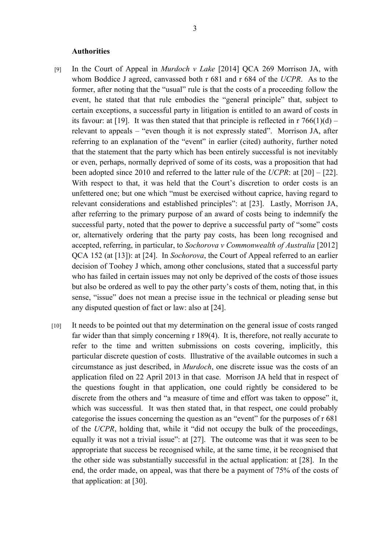#### **Authorities**

- [9] In the Court of Appeal in *Murdoch v Lake* [2014] QCA 269 Morrison JA, with whom Boddice J agreed, canvassed both r 681 and r 684 of the *UCPR*. As to the former, after noting that the "usual" rule is that the costs of a proceeding follow the event, he stated that that rule embodies the "general principle" that, subject to certain exceptions, a successful party in litigation is entitled to an award of costs in its favour: at [19]. It was then stated that that principle is reflected in  $r \cdot 766(1)(d)$  – relevant to appeals – "even though it is not expressly stated". Morrison JA, after referring to an explanation of the "event" in earlier (cited) authority, further noted that the statement that the party which has been entirely successful is not inevitably or even, perhaps, normally deprived of some of its costs, was a proposition that had been adopted since 2010 and referred to the latter rule of the *UCPR*: at [20] – [22]. With respect to that, it was held that the Court's discretion to order costs is an unfettered one; but one which "must be exercised without caprice, having regard to relevant considerations and established principles": at [23]. Lastly, Morrison JA, after referring to the primary purpose of an award of costs being to indemnify the successful party, noted that the power to deprive a successful party of "some" costs or, alternatively ordering that the party pay costs, has been long recognised and accepted, referring, in particular, to *Sochorova v Commonwealth of Australia* [2012] QCA 152 (at [13]): at [24]. In *Sochorova*, the Court of Appeal referred to an earlier decision of Toohey J which, among other conclusions, stated that a successful party who has failed in certain issues may not only be deprived of the costs of those issues but also be ordered as well to pay the other party's costs of them, noting that, in this sense, "issue" does not mean a precise issue in the technical or pleading sense but any disputed question of fact or law: also at [24].
- [10] It needs to be pointed out that my determination on the general issue of costs ranged far wider than that simply concerning r 189(4). It is, therefore, not really accurate to refer to the time and written submissions on costs covering, implicitly, this particular discrete question of costs. Illustrative of the available outcomes in such a circumstance as just described, in *Murdoch*, one discrete issue was the costs of an application filed on 22 April 2013 in that case. Morrison JA held that in respect of the questions fought in that application, one could rightly be considered to be discrete from the others and "a measure of time and effort was taken to oppose" it, which was successful. It was then stated that, in that respect, one could probably categorise the issues concerning the question as an "event" for the purposes of r 681 of the *UCPR*, holding that, while it "did not occupy the bulk of the proceedings, equally it was not a trivial issue": at [27]. The outcome was that it was seen to be appropriate that success be recognised while, at the same time, it be recognised that the other side was substantially successful in the actual application: at [28]. In the end, the order made, on appeal, was that there be a payment of 75% of the costs of that application: at [30].